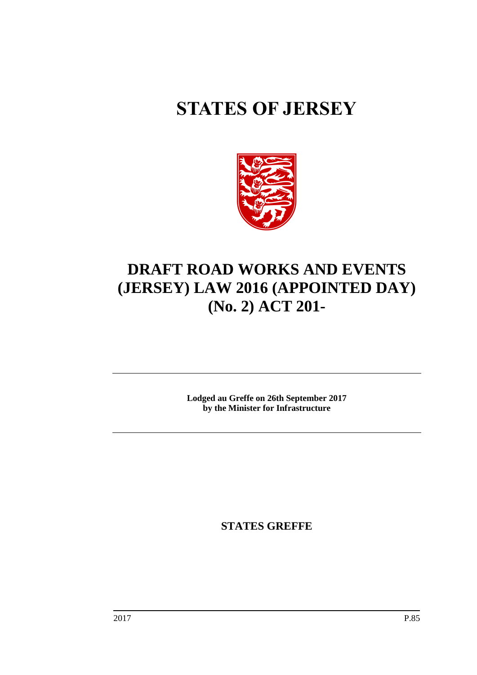# **STATES OF JERSEY**



## **DRAFT ROAD WORKS AND EVENTS (JERSEY) LAW 2016 (APPOINTED DAY) (No. 2) ACT 201-**

**Lodged au Greffe on 26th September 2017 by the Minister for Infrastructure**

**STATES GREFFE**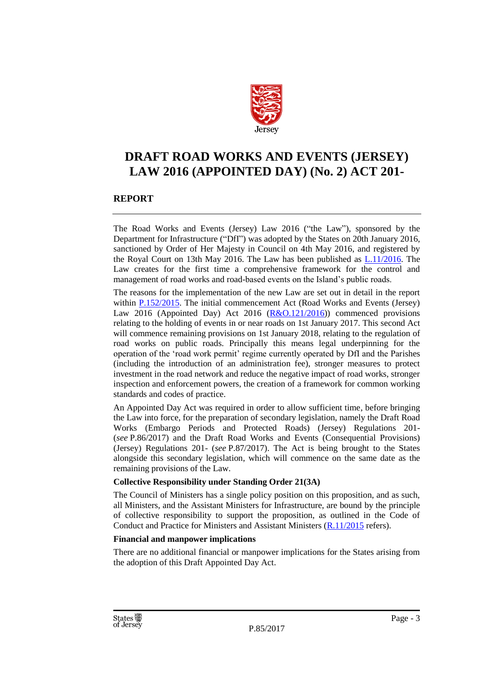

### **DRAFT ROAD WORKS AND EVENTS (JERSEY) LAW 2016 (APPOINTED DAY) (No. 2) ACT 201-**

#### **REPORT**

The Road Works and Events (Jersey) Law 2016 ("the Law"), sponsored by the Department for Infrastructure ("DfI") was adopted by the States on 20th January 2016, sanctioned by Order of Her Majesty in Council on 4th May 2016, and registered by the Royal Court on 13th May 2016. The Law has been published as [L.11/2016.](https://www.jerseylaw.je/laws/enacted/Pages/L-11-2016.aspx) The Law creates for the first time a comprehensive framework for the control and management of road works and road-based events on the Island's public roads.

The reasons for the implementation of the new Law are set out in detail in the report within [P.152/2015.](http://www.statesassembly.gov.je/assemblypropositions/2015/p.152-2015.pdf) The initial commencement Act (Road Works and Events (Jersey) Law 2016 (Appointed Day) Act 2016  $(R&0.121/2016)$  commenced provisions relating to the holding of events in or near roads on 1st January 2017. This second Act will commence remaining provisions on 1st January 2018, relating to the regulation of road works on public roads. Principally this means legal underpinning for the operation of the 'road work permit' regime currently operated by DfI and the Parishes (including the introduction of an administration fee), stronger measures to protect investment in the road network and reduce the negative impact of road works, stronger inspection and enforcement powers, the creation of a framework for common working standards and codes of practice.

An Appointed Day Act was required in order to allow sufficient time, before bringing the Law into force, for the preparation of secondary legislation, namely the Draft Road Works (Embargo Periods and Protected Roads) (Jersey) Regulations 201- (*see* P.86/2017) and the Draft Road Works and Events (Consequential Provisions) (Jersey) Regulations 201- (*see* P.87/2017). The Act is being brought to the States alongside this secondary legislation, which will commence on the same date as the remaining provisions of the Law.

#### **Collective Responsibility under Standing Order 21(3A)**

The Council of Ministers has a single policy position on this proposition, and as such, all Ministers, and the Assistant Ministers for Infrastructure, are bound by the principle of collective responsibility to support the proposition, as outlined in the Code of Conduct and Practice for Ministers and Assistant Ministers [\(R.11/2015](http://www.statesassembly.gov.je/AssemblyReports/2015/R.11-2015.pdf) refers).

#### **Financial and manpower implications**

There are no additional financial or manpower implications for the States arising from the adoption of this Draft Appointed Day Act.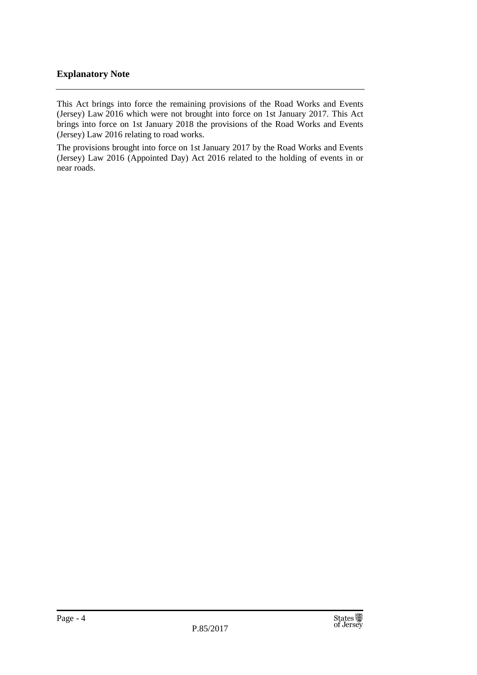#### **Explanatory Note**

This Act brings into force the remaining provisions of the Road Works and Events (Jersey) Law 2016 which were not brought into force on 1st January 2017. This Act brings into force on 1st January 2018 the provisions of the Road Works and Events (Jersey) Law 2016 relating to road works.

The provisions brought into force on 1st January 2017 by the Road Works and Events (Jersey) Law 2016 (Appointed Day) Act 2016 related to the holding of events in or near roads.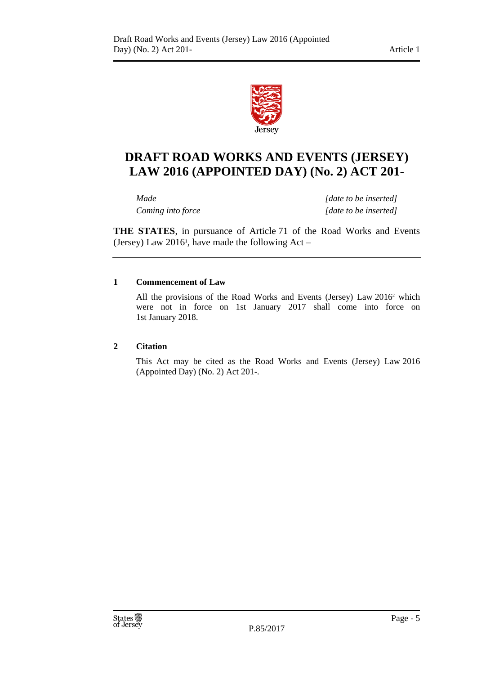

## **DRAFT ROAD WORKS AND EVENTS (JERSEY) LAW 2016 (APPOINTED DAY) (No. 2) ACT 201-**

*Made [date to be inserted] Coming into force [date to be inserted]*

**THE STATES**, in pursuance of Article 71 of the Road Works and Events (Jersey) Law  $2016^{\text{i}}$ , have made the following Act –

#### **1 Commencement of Law**

All the provisions of the Road Works and Events (Jersey) Law 2016<sup>2</sup> which were not in force on 1st January 2017 shall come into force on 1st January 2018.

#### **2 Citation**

This Act may be cited as the Road Works and Events (Jersey) Law 2016 (Appointed Day) (No. 2) Act 201-.